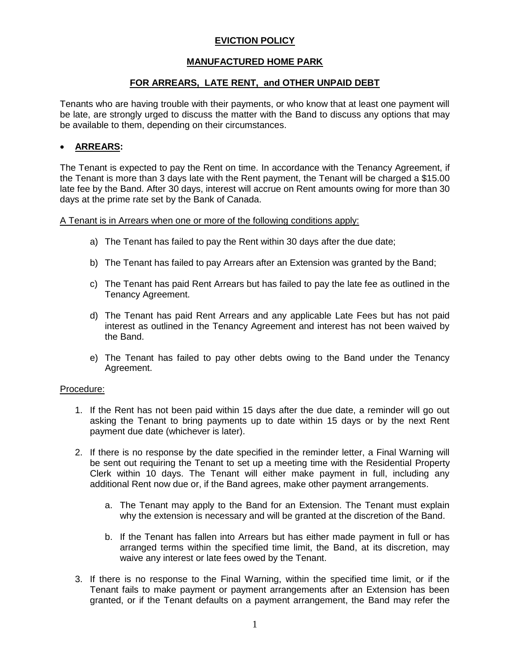# **EVICTION POLICY**

# **MANUFACTURED HOME PARK**

### **FOR ARREARS, LATE RENT, and OTHER UNPAID DEBT**

Tenants who are having trouble with their payments, or who know that at least one payment will be late, are strongly urged to discuss the matter with the Band to discuss any options that may be available to them, depending on their circumstances.

## **ARREARS:**

The Tenant is expected to pay the Rent on time. In accordance with the Tenancy Agreement, if the Tenant is more than 3 days late with the Rent payment, the Tenant will be charged a \$15.00 late fee by the Band. After 30 days, interest will accrue on Rent amounts owing for more than 30 days at the prime rate set by the Bank of Canada.

A Tenant is in Arrears when one or more of the following conditions apply:

- a) The Tenant has failed to pay the Rent within 30 days after the due date;
- b) The Tenant has failed to pay Arrears after an Extension was granted by the Band;
- c) The Tenant has paid Rent Arrears but has failed to pay the late fee as outlined in the Tenancy Agreement.
- d) The Tenant has paid Rent Arrears and any applicable Late Fees but has not paid interest as outlined in the Tenancy Agreement and interest has not been waived by the Band.
- e) The Tenant has failed to pay other debts owing to the Band under the Tenancy Agreement.

#### Procedure:

- 1. If the Rent has not been paid within 15 days after the due date, a reminder will go out asking the Tenant to bring payments up to date within 15 days or by the next Rent payment due date (whichever is later).
- 2. If there is no response by the date specified in the reminder letter, a Final Warning will be sent out requiring the Tenant to set up a meeting time with the Residential Property Clerk within 10 days. The Tenant will either make payment in full, including any additional Rent now due or, if the Band agrees, make other payment arrangements.
	- a. The Tenant may apply to the Band for an Extension. The Tenant must explain why the extension is necessary and will be granted at the discretion of the Band.
	- b. If the Tenant has fallen into Arrears but has either made payment in full or has arranged terms within the specified time limit, the Band, at its discretion, may waive any interest or late fees owed by the Tenant.
- 3. If there is no response to the Final Warning, within the specified time limit, or if the Tenant fails to make payment or payment arrangements after an Extension has been granted, or if the Tenant defaults on a payment arrangement, the Band may refer the